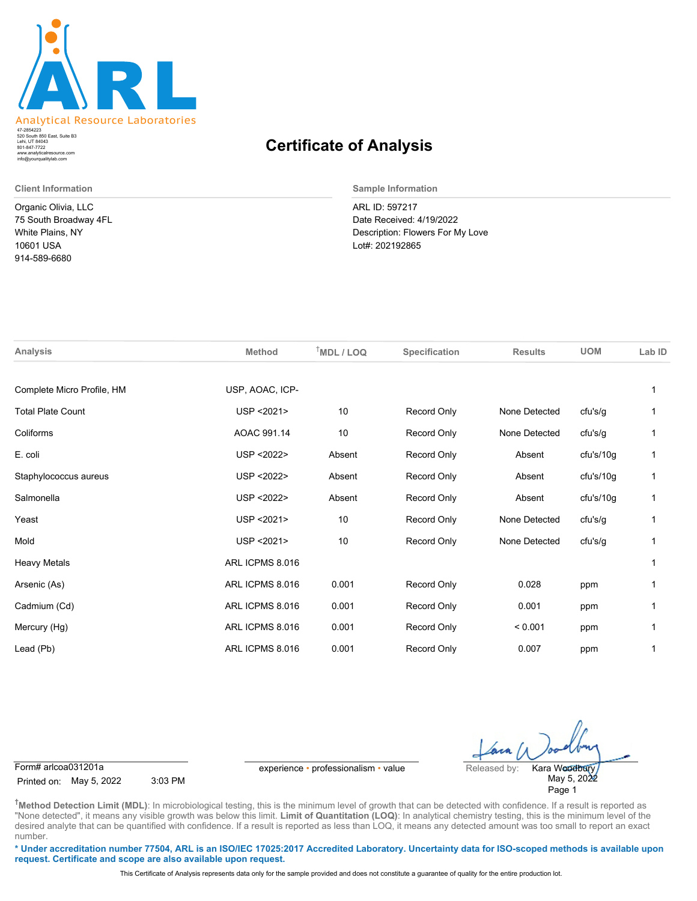

520 South 850 East, Suite B3 Lehi, UT 84043 47-2854223 801-847-7722 www.analyticalresource.com info@yourqualitylab.com

Organic Olivia, LLC 75 South Broadway 4FL White Plains, NY 10601 USA 914-589-6680

## **Certificate of Analysis**

**Client Information Sample Information**

ARL ID: 597217 Date Received: 4/19/2022 Description: Flowers For My Love Lot#: 202192865

| Analysis                   | <b>Method</b>   | $T$ MDL / LOQ | Specification | <b>Results</b> | <b>UOM</b> | Lab ID |
|----------------------------|-----------------|---------------|---------------|----------------|------------|--------|
|                            |                 |               |               |                |            |        |
| Complete Micro Profile, HM | USP, AOAC, ICP- |               |               |                |            |        |
| <b>Total Plate Count</b>   | USP < 2021>     | 10            | Record Only   | None Detected  | cfu's/g    |        |
| Coliforms                  | AOAC 991.14     | 10            | Record Only   | None Detected  | cfu's/g    |        |
| E. coli                    | USP < 2022>     | Absent        | Record Only   | Absent         | cfu's/10g  |        |
| Staphylococcus aureus      | USP < 2022>     | Absent        | Record Only   | Absent         | cfu's/10g  | 1      |
| Salmonella                 | USP < 2022>     | Absent        | Record Only   | Absent         | cfu's/10g  |        |
| Yeast                      | USP < 2021>     | 10            | Record Only   | None Detected  | cfu's/g    | 1      |
| Mold                       | USP < 2021>     | 10            | Record Only   | None Detected  | cfu's/g    |        |
| <b>Heavy Metals</b>        | ARL ICPMS 8.016 |               |               |                |            |        |
| Arsenic (As)               | ARL ICPMS 8.016 | 0.001         | Record Only   | 0.028          | ppm        |        |
| Cadmium (Cd)               | ARL ICPMS 8.016 | 0.001         | Record Only   | 0.001          | ppm        | 1      |
| Mercury (Hg)               | ARL ICPMS 8.016 | 0.001         | Record Only   | < 0.001        | ppm        |        |
| Lead (Pb)                  | ARL ICPMS 8.016 | 0.001         | Record Only   | 0.007          | ppm        |        |
|                            |                 |               |               |                |            |        |

Form# arlcoa031201a experience • professionalism • value Released by:

Printed on: May 5, 2022 3:03 PM

May 5, 2022 Page 1 Kara Woodbury

**†Method Detection Limit (MDL)**: In microbiological testing, this is the minimum level of growth that can be detected with confidence. If a result is reported as "None detected", it means any visible growth was below this limit. Limit of Quantitation (LOQ): In analytical chemistry testing, this is the minimum level of the desired analyte that can be quantified with confidence. If a result is reported as less than LOQ, it means any detected amount was too small to report an exact number.

**\* Under accreditation number 77504, ARL is an ISO/IEC 17025:2017 Accredited Laboratory. Uncertainty data for ISO-scoped methods is available upon request. Certificate and scope are also available upon request.**